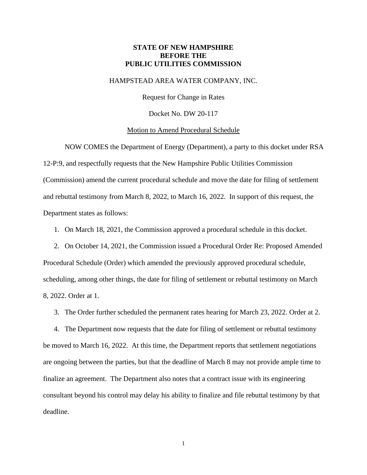### **STATE OF NEW HAMPSHIRE BEFORE THE PUBLIC UTILITIES COMMISSION**

#### HAMPSTEAD AREA WATER COMPANY, INC.

Request for Change in Rates

Docket No. DW 20-117

#### Motion to Amend Procedural Schedule

NOW COMES the Department of Energy (Department), a party to this docket under RSA 12-P:9, and respectfully requests that the New Hampshire Public Utilities Commission (Commission) amend the current procedural schedule and move the date for filing of settlement and rebuttal testimony from March 8, 2022, to March 16, 2022. In support of this request, the Department states as follows:

1. On March 18, 2021, the Commission approved a procedural schedule in this docket.

2. On October 14, 2021, the Commission issued a Procedural Order Re: Proposed Amended Procedural Schedule (Order) which amended the previously approved procedural schedule, scheduling, among other things, the date for filing of settlement or rebuttal testimony on March 8, 2022. Order at 1.

3. The Order further scheduled the permanent rates hearing for March 23, 2022. Order at 2.

4. The Department now requests that the date for filing of settlement or rebuttal testimony be moved to March 16, 2022. At this time, the Department reports that settlement negotiations are ongoing between the parties, but that the deadline of March 8 may not provide ample time to finalize an agreement. The Department also notes that a contract issue with its engineering consultant beyond his control may delay his ability to finalize and file rebuttal testimony by that deadline.

1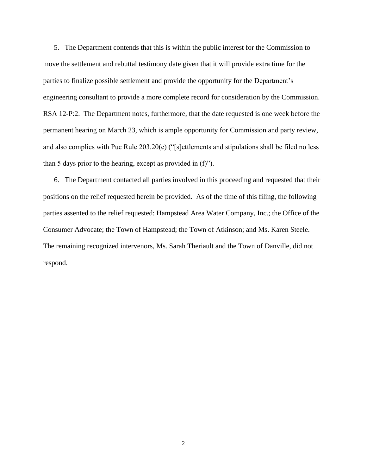5. The Department contends that this is within the public interest for the Commission to move the settlement and rebuttal testimony date given that it will provide extra time for the parties to finalize possible settlement and provide the opportunity for the Department's engineering consultant to provide a more complete record for consideration by the Commission. RSA 12-P:2. The Department notes, furthermore, that the date requested is one week before the permanent hearing on March 23, which is ample opportunity for Commission and party review, and also complies with Puc Rule 203.20(e) ("[s]ettlements and stipulations shall be filed no less than 5 days prior to the hearing, except as provided in (f)").

6. The Department contacted all parties involved in this proceeding and requested that their positions on the relief requested herein be provided. As of the time of this filing, the following parties assented to the relief requested: Hampstead Area Water Company, Inc.; the Office of the Consumer Advocate; the Town of Hampstead; the Town of Atkinson; and Ms. Karen Steele. The remaining recognized intervenors, Ms. Sarah Theriault and the Town of Danville, did not respond.